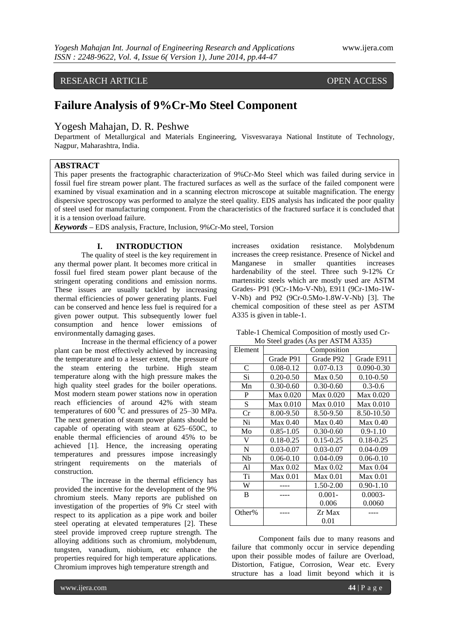# RESEARCH ARTICLE OPEN ACCESS

# **Failure Analysis of 9%Cr-Mo Steel Component**

# Yogesh Mahajan, D. R. Peshwe

Department of Metallurgical and Materials Engineering, Visvesvaraya National Institute of Technology, Nagpur, Maharashtra, India.

# **ABSTRACT**

This paper presents the fractographic characterization of 9%Cr-Mo Steel which was failed during service in fossil fuel fire stream power plant. The fractured surfaces as well as the surface of the failed component were examined by visual examination and in a scanning electron microscope at suitable magnification. The energy dispersive spectroscopy was performed to analyze the steel quality. EDS analysis has indicated the poor quality of steel used for manufacturing component. From the characteristics of the fractured surface it is concluded that it is a tension overload failure.

*Keywords* **–** EDS analysis, Fracture, Inclusion, 9%Cr-Mo steel, Torsion

# **I. INTRODUCTION**

The quality of steel is the key requirement in any thermal power plant. It becomes more critical in fossil fuel fired steam power plant because of the stringent operating conditions and emission norms. These issues are usually tackled by increasing thermal efficiencies of power generating plants. Fuel can be conserved and hence less fuel is required for a given power output. This subsequently lower fuel consumption and hence lower emissions of environmentally damaging gases.

Increase in the thermal efficiency of a power plant can be most effectively achieved by increasing the temperature and to a lesser extent, the pressure of the steam entering the turbine. High steam temperature along with the high pressure makes the high quality steel grades for the boiler operations. Most modern steam power stations now in operation reach efficiencies of around 42% with steam temperatures of  $600<sup>0</sup>C$  and pressures of 25–30 MPa. The next generation of steam power plants should be capable of operating with steam at 625–650C, to enable thermal efficiencies of around 45% to be achieved [1]. Hence, the increasing operating temperatures and pressures impose increasingly stringent requirements on the materials of construction.

The increase in the thermal efficiency has provided the incentive for the development of the 9% chromium steels. Many reports are published on investigation of the properties of 9% Cr steel with respect to its application as a pipe work and boiler steel operating at elevated temperatures [2]. These steel provide improved creep rupture strength. The alloying additions such as chromium, molybdenum, tungsten, vanadium, niobium, etc enhance the properties required for high temperature applications. Chromium improves high temperature strength and

increases oxidation resistance. Molybdenum increases the creep resistance. Presence of Nickel and Manganese in smaller quantities increases hardenability of the steel. Three such 9-12% Cr martensitic steels which are mostly used are ASTM Grades- P91 (9Cr-1Mo-V-Nb), E911 (9Cr-1Mo-1W-V-Nb) and P92 (9Cr-0.5Mo-1.8W-V-Nb) [3]. The chemical composition of these steel as per ASTM A335 is given in table-1.

Table-1 Chemical Composition of mostly used Cr-Mo Steel grades (As per ASTM A335)

| Element        | Composition   |               |                |
|----------------|---------------|---------------|----------------|
|                | Grade P91     | Grade P92     | Grade E911     |
| $\mathcal{C}$  | $0.08 - 0.12$ | $0.07 - 0.13$ | $0.090 - 0.30$ |
| Si             | $0.20 - 0.50$ | Max 0.50      | $0.10 - 0.50$  |
| Mn             | $0.30 - 0.60$ | $0.30 - 0.60$ | $0.3 - 0.6$    |
| P              | Max 0.020     | Max 0.020     | Max 0.020      |
| S              | Max 0.010     | Max 0.010     | Max 0.010      |
| Cr             | 8.00-9.50     | 8.50-9.50     | 8.50-10.50     |
| Ni             | Max 0.40      | Max 0.40      | Max 0.40       |
| Mo             | $0.85 - 1.05$ | $0.30 - 0.60$ | $0.9 - 1.10$   |
| V              | 0.18-0.25     | $0.15 - 0.25$ | $0.18 - 0.25$  |
| N              | 0.03-0.07     | $0.03 - 0.07$ | $0.04 - 0.09$  |
| Nb             | $0.06 - 0.10$ | $0.04 - 0.09$ | $0.06 - 0.10$  |
| Al             | Max 0.02      | Max 0.02      | Max 0.04       |
| T <sub>i</sub> | Max 0.01      | Max 0.01      | Max 0.01       |
| W              |               | 1.50-2.00     | $0.90 - 1.10$  |
| B              |               | $0.001 -$     | $0.0003 -$     |
|                |               | 0.006         | 0.0060         |
| Other%         |               | Zr Max        |                |
|                |               | 0.01          |                |

Component fails due to many reasons and failure that commonly occur in service depending upon their possible modes of failure are Overload, Distortion, Fatigue, Corrosion, Wear etc. Every structure has a load limit beyond which it is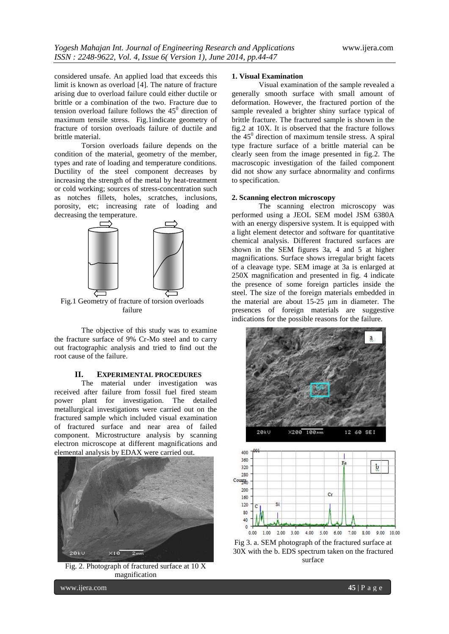considered unsafe. An applied load that exceeds this limit is known as overload [4]. The nature of fracture arising due to overload failure could either ductile or brittle or a combination of the two. Fracture due to tension overload failure follows the  $45^{\circ}$  direction of maximum tensile stress. Fig.1indicate geometry of fracture of torsion overloads failure of ductile and brittle material.

Torsion overloads failure depends on the condition of the material, geometry of the member, types and rate of loading and temperature conditions. Ductility of the steel component decreases by increasing the strength of the metal by heat-treatment or cold working; sources of stress-concentration such as notches fillets, holes, scratches, inclusions, porosity, etc; increasing rate of loading and decreasing the temperature.



Fig.1 Geometry of fracture of torsion overloads failure

The objective of this study was to examine the fracture surface of 9% Cr-Mo steel and to carry out fractographic analysis and tried to find out the root cause of the failure.

# **II. EXPERIMENTAL PROCEDURES**

The material under investigation was received after failure from fossil fuel fired steam power plant for investigation. The detailed metallurgical investigations were carried out on the fractured sample which included visual examination of fractured surface and near area of failed component. Microstructure analysis by scanning electron microscope at different magnifications and elemental analysis by EDAX were carried out.



Fig. 2. Photograph of fractured surface at 10 X magnification

### **1. Visual Examination**

Visual examination of the sample revealed a generally smooth surface with small amount of deformation. However, the fractured portion of the sample revealed a brighter shiny surface typical of brittle fracture. The fractured sample is shown in the fig.2 at 10X. It is observed that the fracture follows the  $45^{\circ}$  direction of maximum tensile stress. A spiral type fracture surface of a brittle material can be clearly seen from the image presented in fig.2. The macroscopic investigation of the failed component did not show any surface abnormality and confirms to specification.

### **2. Scanning electron microscopy**

The scanning electron microscopy was performed using a JEOL SEM model JSM 6380A with an energy dispersive system. It is equipped with a light element detector and software for quantitative chemical analysis. Different fractured surfaces are shown in the SEM figures 3a, 4 and 5 at higher magnifications. Surface shows irregular bright facets of a cleavage type. SEM image at 3a is enlarged at 250X magnification and presented in fig. 4 indicate the presence of some foreign particles inside the steel. The size of the foreign materials embedded in the material are about 15-25 μm in diameter. The presences of foreign materials are suggestive indications for the possible reasons for the failure.



Fig 3. a. SEM photograph of the fractured surface at 30X with the b. EDS spectrum taken on the fractured surface

www.ijera.com **45** | P a g e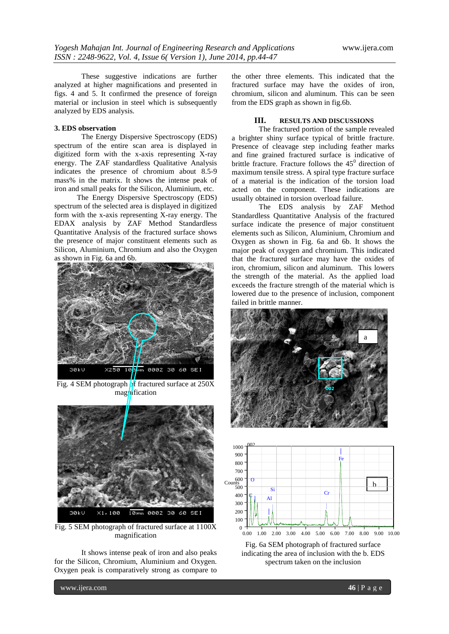These suggestive indications are further analyzed at higher magnifications and presented in figs. 4 and 5. It confirmed the presence of foreign material or inclusion in steel which is subsequently analyzed by EDS analysis.

# **3. EDS observation**

The Energy Dispersive Spectroscopy (EDS) spectrum of the entire scan area is displayed in digitized form with the x-axis representing X-ray energy. The ZAF standardless Qualitative Analysis indicates the presence of chromium about 8.5-9 mass% in the matrix. It shows the intense peak of iron and small peaks for the Silicon, Aluminium, etc.

The Energy Dispersive Spectroscopy (EDS) spectrum of the selected area is displayed in digitized form with the x-axis representing X-ray energy. The EDAX analysis by ZAF Method Standardless Quantitative Analysis of the fractured surface shows the presence of major constituent elements such as Silicon, Aluminium, Chromium and also the Oxygen as shown in Fig. 6a and 6b.



Fig. 4 SEM photograph  $\frac{1}{2}$ f fractured surface at 250X magnification



Fig. 5 SEM photograph of fractured surface at 1100X magnification

It shows intense peak of iron and also peaks for the Silicon, Chromium, Aluminium and Oxygen. Oxygen peak is comparatively strong as compare to the other three elements. This indicated that the fractured surface may have the oxides of iron, chromium, silicon and aluminum. This can be seen from the EDS graph as shown in fig.6b.

# **III. RESULTS AND DISCUSSIONS**

The fractured portion of the sample revealed a brighter shiny surface typical of brittle fracture. Presence of cleavage step including feather marks and fine grained fractured surface is indicative of brittle fracture. Fracture follows the  $45^{\circ}$  direction of maximum tensile stress. A spiral type fracture surface of a material is the indication of the torsion load acted on the component. These indications are usually obtained in torsion overload failure.

The EDS analysis by ZAF Method Standardless Quantitative Analysis of the fractured surface indicate the presence of major constituent elements such as Silicon, Aluminium, Chromium and Oxygen as shown in Fig. 6a and 6b. It shows the major peak of oxygen and chromium. This indicated that the fractured surface may have the oxides of iron, chromium, silicon and aluminum. This lowers the strength of the material. As the applied load exceeds the fracture strength of the material which is lowered due to the presence of inclusion, component failed in brittle manner.





Fig. 6a SEM photograph of fractured surface indicating the area of inclusion with the b. EDS spectrum taken on the inclusion